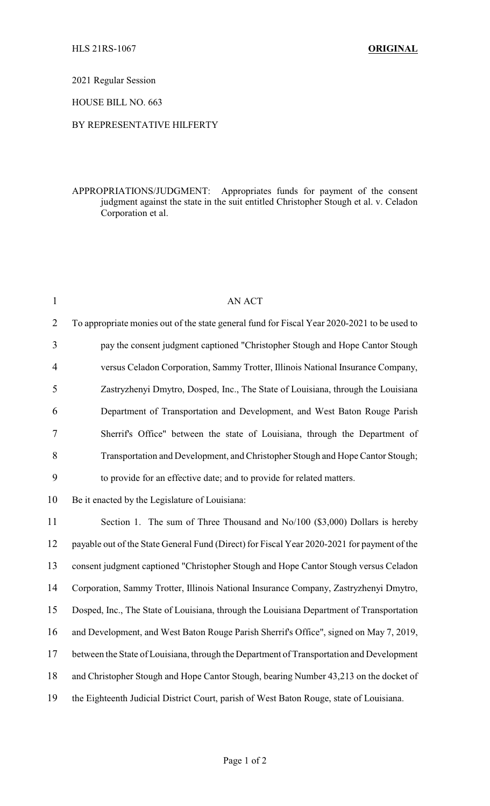2021 Regular Session

HOUSE BILL NO. 663

## BY REPRESENTATIVE HILFERTY

## APPROPRIATIONS/JUDGMENT: Appropriates funds for payment of the consent judgment against the state in the suit entitled Christopher Stough et al. v. Celadon Corporation et al.

| $\mathbf{1}$   | <b>AN ACT</b>                                                                               |
|----------------|---------------------------------------------------------------------------------------------|
| $\overline{2}$ | To appropriate monies out of the state general fund for Fiscal Year 2020-2021 to be used to |
| 3              | pay the consent judgment captioned "Christopher Stough and Hope Cantor Stough               |
| 4              | versus Celadon Corporation, Sammy Trotter, Illinois National Insurance Company,             |
| 5              | Zastryzhenyi Dmytro, Dosped, Inc., The State of Louisiana, through the Louisiana            |
| 6              | Department of Transportation and Development, and West Baton Rouge Parish                   |
| $\tau$         | Sherrif's Office" between the state of Louisiana, through the Department of                 |
| 8              | Transportation and Development, and Christopher Stough and Hope Cantor Stough;              |
| 9              | to provide for an effective date; and to provide for related matters.                       |
| 10             | Be it enacted by the Legislature of Louisiana:                                              |
| 11             | Section 1. The sum of Three Thousand and No/100 (\$3,000) Dollars is hereby                 |
| 12             | payable out of the State General Fund (Direct) for Fiscal Year 2020-2021 for payment of the |
| 13             | consent judgment captioned "Christopher Stough and Hope Cantor Stough versus Celadon        |
| 14             | Corporation, Sammy Trotter, Illinois National Insurance Company, Zastryzhenyi Dmytro,       |
| 15             | Dosped, Inc., The State of Louisiana, through the Louisiana Department of Transportation    |
| 16             | and Development, and West Baton Rouge Parish Sherrif's Office", signed on May 7, 2019,      |
| 17             | between the State of Louisiana, through the Department of Transportation and Development    |
| 18             | and Christopher Stough and Hope Cantor Stough, bearing Number 43,213 on the docket of       |
| 19             | the Eighteenth Judicial District Court, parish of West Baton Rouge, state of Louisiana.     |
|                |                                                                                             |